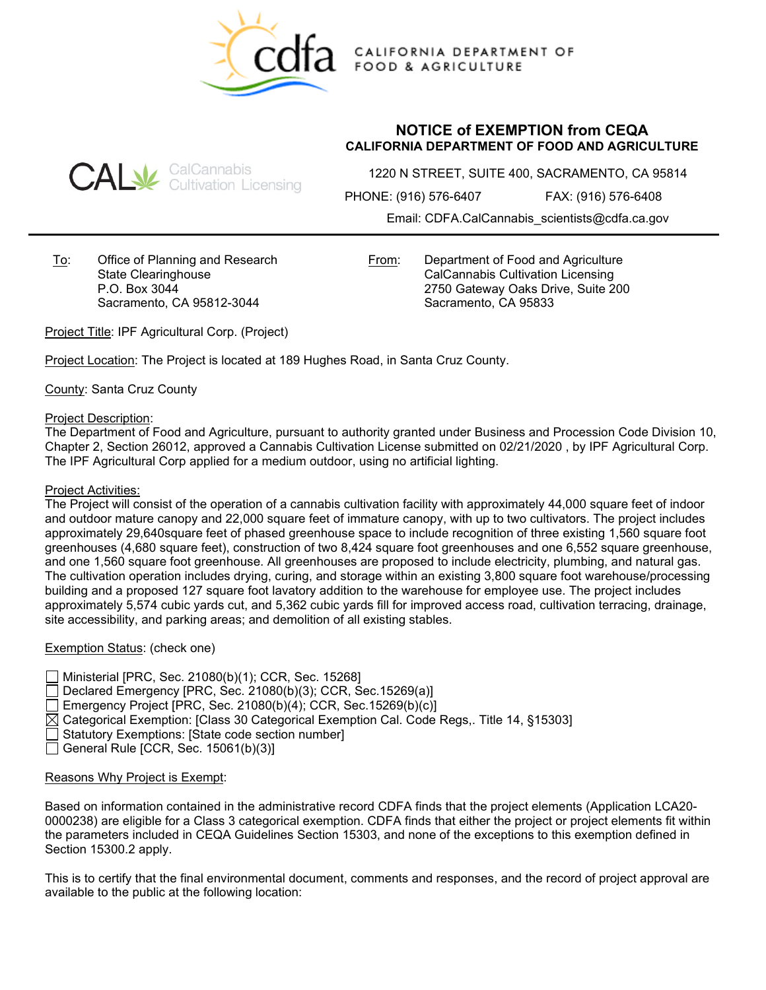

CALIFORNIA DEPARTMENT OF **FOOD & AGRICULTURE** 

# **CAL** SalCannabis<br>CAL Gultivation Licensing

## **NOTICE of EXEMPTION from CEQA CALIFORNIA DEPARTMENT OF FOOD AND AGRICULTURE**

1220 N STREET, SUITE 400, SACRAMENTO, CA 95814

PHONE: (916) 576-6407 FAX: (916) 576-6408

Email: CDFA.CalCannabis\_scientists@cdfa.ca.gov

To: Office of Planning and Research State Clearinghouse P.O. Box 3044 Sacramento, CA 95812-3044

From: Department of Food and Agriculture CalCannabis Cultivation Licensing 2750 Gateway Oaks Drive, Suite 200 Sacramento, CA 95833

Project Title: IPF Agricultural Corp. (Project)

Project Location: The Project is located at 189 Hughes Road, in Santa Cruz County.

County: Santa Cruz County

## Project Description:

The Department of Food and Agriculture, pursuant to authority granted under Business and Procession Code Division 10, Chapter 2, Section 26012, approved a Cannabis Cultivation License submitted on 02/21/2020 , by IPF Agricultural Corp. The IPF Agricultural Corp applied for a medium outdoor, using no artificial lighting.

## Project Activities:

The Project will consist of the operation of a cannabis cultivation facility with approximately 44,000 square feet of indoor and outdoor mature canopy and 22,000 square feet of immature canopy, with up to two cultivators. The project includes approximately 29,640square feet of phased greenhouse space to include recognition of three existing 1,560 square foot greenhouses (4,680 square feet), construction of two 8,424 square foot greenhouses and one 6,552 square greenhouse, and one 1,560 square foot greenhouse. All greenhouses are proposed to include electricity, plumbing, and natural gas. The cultivation operation includes drying, curing, and storage within an existing 3,800 square foot warehouse/processing building and a proposed 127 square foot lavatory addition to the warehouse for employee use. The project includes approximately 5,574 cubic yards cut, and 5,362 cubic yards fill for improved access road, cultivation terracing, drainage, site accessibility, and parking areas; and demolition of all existing stables.

## Exemption Status: (check one)

Ministerial [PRC, Sec. 21080(b)(1); CCR, Sec. 15268] Declared Emergency [PRC, Sec. 21080(b)(3); CCR, Sec.15269(a)] Emergency Project [PRC, Sec. 21080(b)(4); CCR, Sec.15269(b)(c)]  $\boxtimes$  Categorical Exemption: [Class 30 Categorical Exemption Cal. Code Regs,. Title 14, §15303] Statutory Exemptions: [State code section number] General Rule [CCR, Sec. 15061(b)(3)]

## Reasons Why Project is Exempt:

Based on information contained in the administrative record CDFA finds that the project elements (Application LCA20- 0000238) are eligible for a Class 3 categorical exemption. CDFA finds that either the project or project elements fit within the parameters included in CEQA Guidelines Section 15303, and none of the exceptions to this exemption defined in Section 15300.2 apply.

This is to certify that the final environmental document, comments and responses, and the record of project approval are available to the public at the following location: